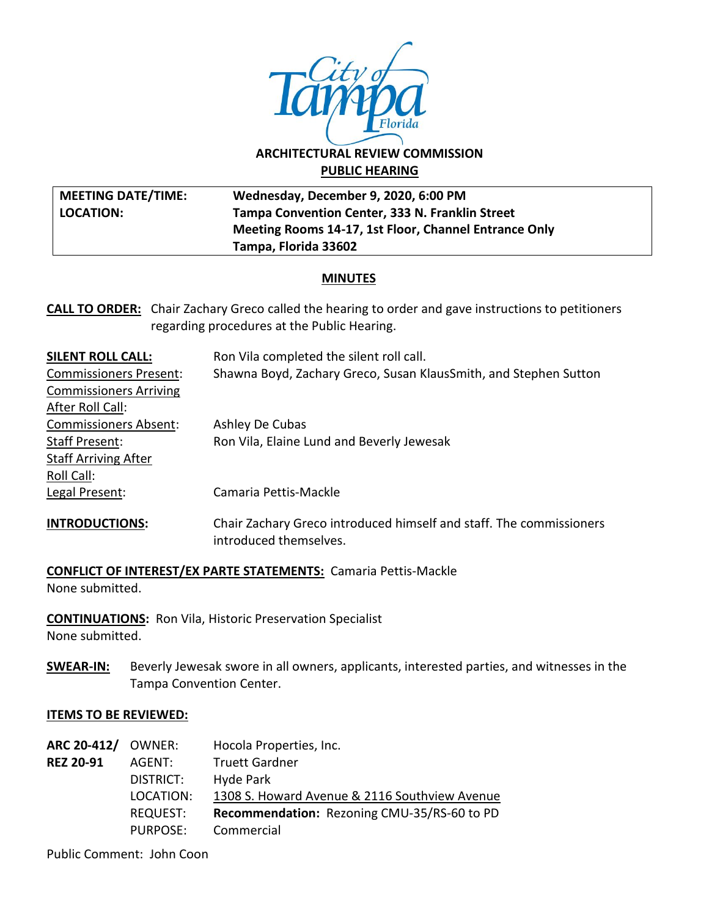

# **ARCHITECTURAL REVIEW COMMISSION PUBLIC HEARING**

| <b>MEETING DATE/TIME:</b> | Wednesday, December 9, 2020, 6:00 PM                  |
|---------------------------|-------------------------------------------------------|
| <b>LOCATION:</b>          | Tampa Convention Center, 333 N. Franklin Street       |
|                           | Meeting Rooms 14-17, 1st Floor, Channel Entrance Only |
|                           | Tampa, Florida 33602                                  |

### **MINUTES**

**CALL TO ORDER:** Chair Zachary Greco called the hearing to order and gave instructions to petitioners regarding procedures at the Public Hearing.

| <b>SILENT ROLL CALL:</b>      | Ron Vila completed the silent roll call.                                                      |
|-------------------------------|-----------------------------------------------------------------------------------------------|
| <b>Commissioners Present:</b> | Shawna Boyd, Zachary Greco, Susan KlausSmith, and Stephen Sutton                              |
| <b>Commissioners Arriving</b> |                                                                                               |
| After Roll Call:              |                                                                                               |
| <b>Commissioners Absent:</b>  | Ashley De Cubas                                                                               |
| Staff Present:                | Ron Vila, Elaine Lund and Beverly Jewesak                                                     |
| <b>Staff Arriving After</b>   |                                                                                               |
| Roll Call:                    |                                                                                               |
| Legal Present:                | Camaria Pettis-Mackle                                                                         |
| <b>INTRODUCTIONS:</b>         | Chair Zachary Greco introduced himself and staff. The commissioners<br>introduced themselves. |

**CONFLICT OF INTEREST/EX PARTE STATEMENTS:** Camaria Pettis-Mackle None submitted.

**CONTINUATIONS:** Ron Vila, Historic Preservation Specialist None submitted.

**SWEAR-IN:** Beverly Jewesak swore in all owners, applicants, interested parties, and witnesses in the Tampa Convention Center.

#### **ITEMS TO BE REVIEWED:**

| <b>ARC 20-412/ OWNER:</b> |           | Hocola Properties, Inc.                       |
|---------------------------|-----------|-----------------------------------------------|
| <b>REZ 20-91</b>          | AGENT:    | <b>Truett Gardner</b>                         |
|                           | DISTRICT: | Hyde Park                                     |
|                           | LOCATION: | 1308 S. Howard Avenue & 2116 Southview Avenue |
|                           | REQUEST:  | Recommendation: Rezoning CMU-35/RS-60 to PD   |
|                           | PURPOSE:  | Commercial                                    |

Public Comment: John Coon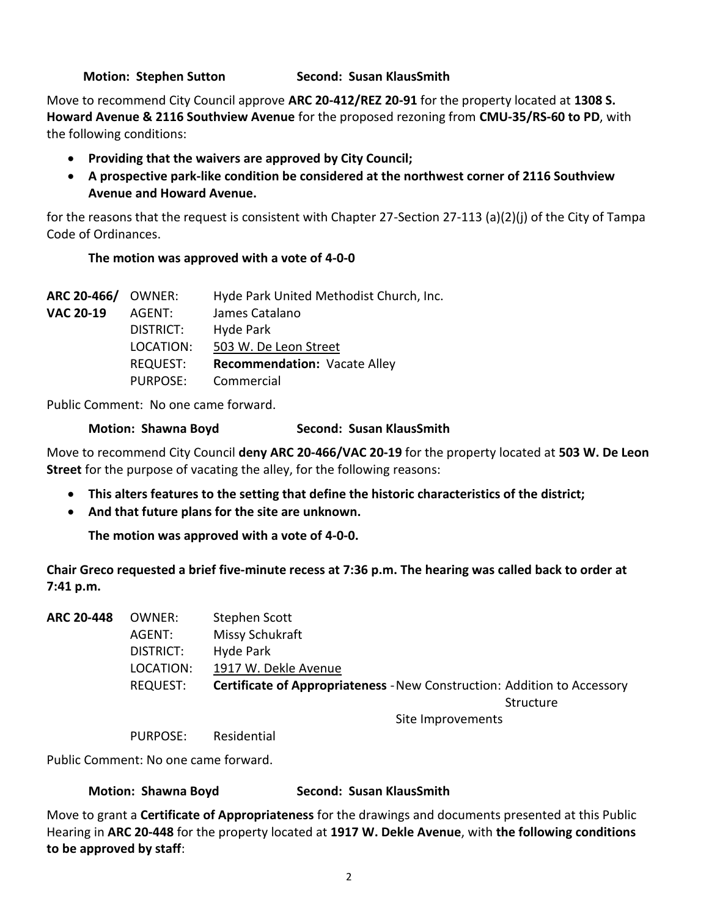### **Motion: Stephen Sutton Second: Susan KlausSmith**

Move to recommend City Council approve **ARC 20-412/REZ 20-91** for the property located at **1308 S. Howard Avenue & 2116 Southview Avenue** for the proposed rezoning from **CMU-35/RS-60 to PD**, with the following conditions:

- **Providing that the waivers are approved by City Council;**
- **A prospective park-like condition be considered at the northwest corner of 2116 Southview Avenue and Howard Avenue.**

for the reasons that the request is consistent with Chapter 27-Section 27-113 (a)(2)(j) of the City of Tampa Code of Ordinances.

### **The motion was approved with a vote of 4-0-0**

| <b>ARC 20-466/ OWNER:</b> |                 | Hyde Park United Methodist Church, Inc. |
|---------------------------|-----------------|-----------------------------------------|
| <b>VAC 20-19</b>          | AGENT:          | James Catalano                          |
|                           | DISTRICT:       | Hyde Park                               |
|                           | LOCATION:       | 503 W. De Leon Street                   |
|                           | <b>REQUEST:</b> | <b>Recommendation: Vacate Alley</b>     |
|                           | PURPOSE:        | Commercial                              |

Public Comment: No one came forward.

#### **Motion: Shawna Boyd Second: Susan KlausSmith**

Move to recommend City Council **deny ARC 20-466/VAC 20-19** for the property located at **503 W. De Leon Street** for the purpose of vacating the alley, for the following reasons:

- **This alters features to the setting that define the historic characteristics of the district;**
- **And that future plans for the site are unknown.**

**The motion was approved with a vote of 4-0-0.**

**Chair Greco requested a brief five-minute recess at 7:36 p.m. The hearing was called back to order at 7:41 p.m.**

| <b>ARC 20-448</b> | OWNER:          | Stephen Scott                                                                   |
|-------------------|-----------------|---------------------------------------------------------------------------------|
|                   | AGENT:          | Missy Schukraft                                                                 |
|                   | DISTRICT:       | Hyde Park                                                                       |
|                   | LOCATION:       | 1917 W. Dekle Avenue                                                            |
|                   | <b>REQUEST:</b> | <b>Certificate of Appropriateness - New Construction: Addition to Accessory</b> |
|                   |                 | Structure                                                                       |
|                   |                 | Site Improvements                                                               |

PURPOSE: Residential

Public Comment: No one came forward.

#### **Motion: Shawna Boyd Second: Susan KlausSmith**

Move to grant a **Certificate of Appropriateness** for the drawings and documents presented at this Public Hearing in **ARC 20-448** for the property located at **1917 W. Dekle Avenue**, with **the following conditions to be approved by staff**: